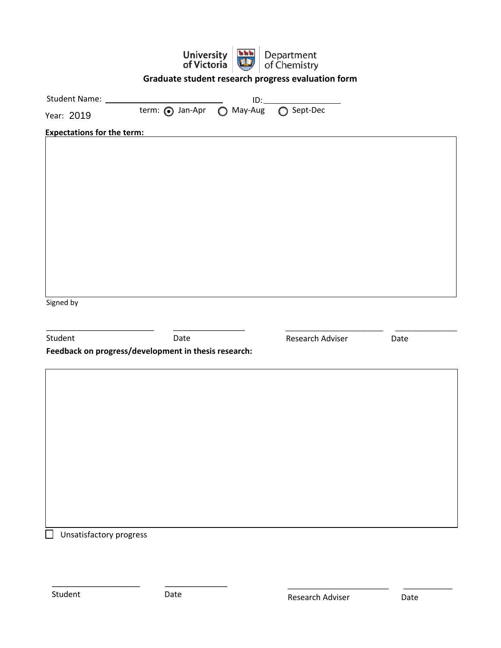|                                   | <b>University</b><br>of Victoria                     | 医血清 | Department<br>of Chemistry                         |      |
|-----------------------------------|------------------------------------------------------|-----|----------------------------------------------------|------|
|                                   |                                                      |     | Graduate student research progress evaluation form |      |
|                                   |                                                      |     | $ID: \underline{\hspace{2.5cm}}$                   |      |
| Year: 2019                        | term: ig Jan-Apr   May-Aug   O Sept-Dec              |     |                                                    |      |
| <b>Expectations for the term:</b> |                                                      |     |                                                    |      |
|                                   |                                                      |     |                                                    |      |
|                                   |                                                      |     |                                                    |      |
|                                   |                                                      |     |                                                    |      |
|                                   |                                                      |     |                                                    |      |
|                                   |                                                      |     |                                                    |      |
|                                   |                                                      |     |                                                    |      |
|                                   |                                                      |     |                                                    |      |
|                                   |                                                      |     |                                                    |      |
|                                   |                                                      |     |                                                    |      |
| Signed by                         |                                                      |     |                                                    |      |
|                                   |                                                      |     |                                                    |      |
| Student                           | Date                                                 |     | Research Adviser                                   | Date |
|                                   | Feedback on progress/development in thesis research: |     |                                                    |      |
|                                   |                                                      |     |                                                    |      |
|                                   |                                                      |     |                                                    |      |
|                                   |                                                      |     |                                                    |      |
|                                   |                                                      |     |                                                    |      |
|                                   |                                                      |     |                                                    |      |
|                                   |                                                      |     |                                                    |      |
|                                   |                                                      |     |                                                    |      |
|                                   |                                                      |     |                                                    |      |
|                                   |                                                      |     |                                                    |      |
| $\Box$                            |                                                      |     |                                                    |      |
| Unsatisfactory progress           |                                                      |     |                                                    |      |
|                                   |                                                      |     |                                                    |      |
|                                   |                                                      |     |                                                    |      |

Student Date

 $\overline{\phantom{a}}$  , and the contract of the contract of the contract of the contract of the contract of the contract of the contract of the contract of the contract of the contract of the contract of the contract of the contrac

\_\_\_\_\_\_\_\_\_\_\_\_\_\_\_\_\_\_\_\_\_\_\_\_\_\_\_\_\_\_\_ \_\_\_\_\_\_\_\_\_\_\_\_\_\_\_